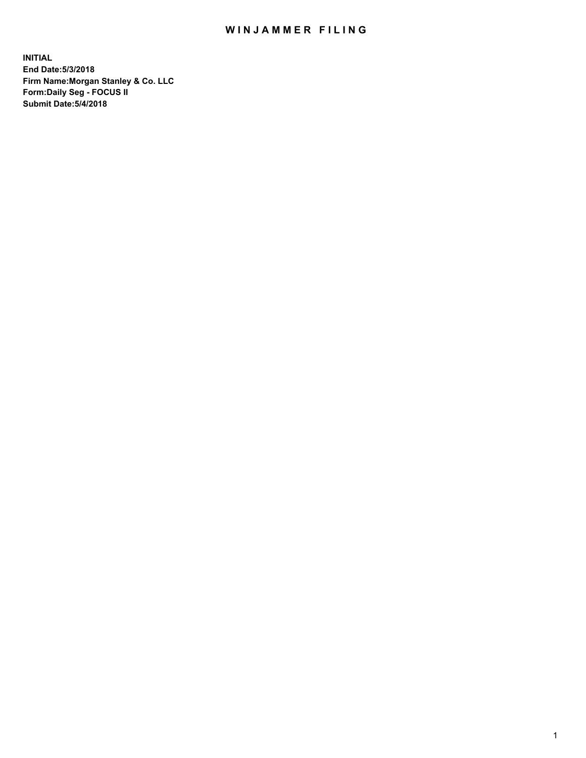## WIN JAMMER FILING

**INITIAL End Date:5/3/2018 Firm Name:Morgan Stanley & Co. LLC Form:Daily Seg - FOCUS II Submit Date:5/4/2018**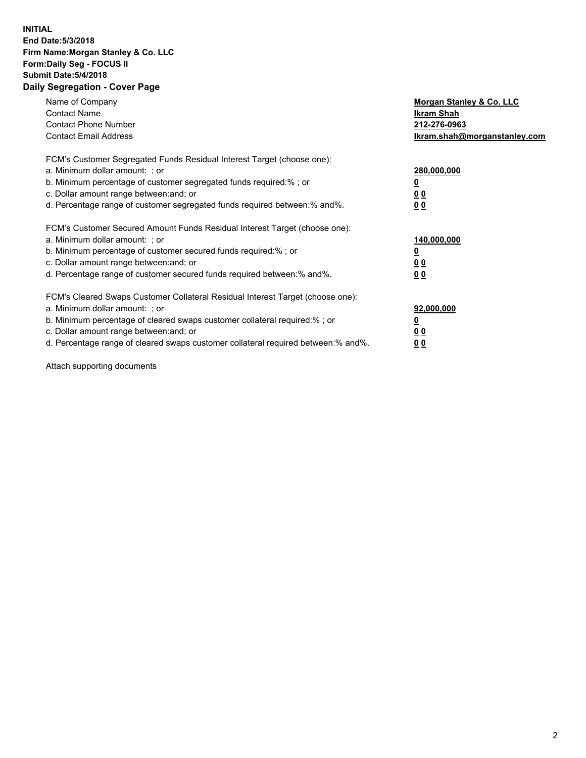## **INITIAL End Date:5/3/2018 Firm Name:Morgan Stanley & Co. LLC Form:Daily Seg - FOCUS II Submit Date:5/4/2018 Daily Segregation - Cover Page**

| Name of Company<br><b>Contact Name</b><br><b>Contact Phone Number</b><br><b>Contact Email Address</b>                                                                                                                                                                                                                          | Morgan Stanley & Co. LLC<br><b>Ikram Shah</b><br>212-276-0963<br>Ikram.shah@morganstanley.com |
|--------------------------------------------------------------------------------------------------------------------------------------------------------------------------------------------------------------------------------------------------------------------------------------------------------------------------------|-----------------------------------------------------------------------------------------------|
| FCM's Customer Segregated Funds Residual Interest Target (choose one):<br>a. Minimum dollar amount: ; or<br>b. Minimum percentage of customer segregated funds required:%; or<br>c. Dollar amount range between: and; or<br>d. Percentage range of customer segregated funds required between: % and %.                        | 280,000,000<br><u>0</u><br>0 <sub>0</sub><br>0 <sub>0</sub>                                   |
| FCM's Customer Secured Amount Funds Residual Interest Target (choose one):<br>a. Minimum dollar amount: ; or<br>b. Minimum percentage of customer secured funds required:%; or<br>c. Dollar amount range between: and; or<br>d. Percentage range of customer secured funds required between: % and %.                          | 140,000,000<br>0 <sub>0</sub><br>0 <sub>0</sub>                                               |
| FCM's Cleared Swaps Customer Collateral Residual Interest Target (choose one):<br>a. Minimum dollar amount: ; or<br>b. Minimum percentage of cleared swaps customer collateral required:% ; or<br>c. Dollar amount range between: and; or<br>d. Percentage range of cleared swaps customer collateral required between:% and%. | 92,000,000<br>0 <sub>0</sub><br>0 <sub>0</sub>                                                |

Attach supporting documents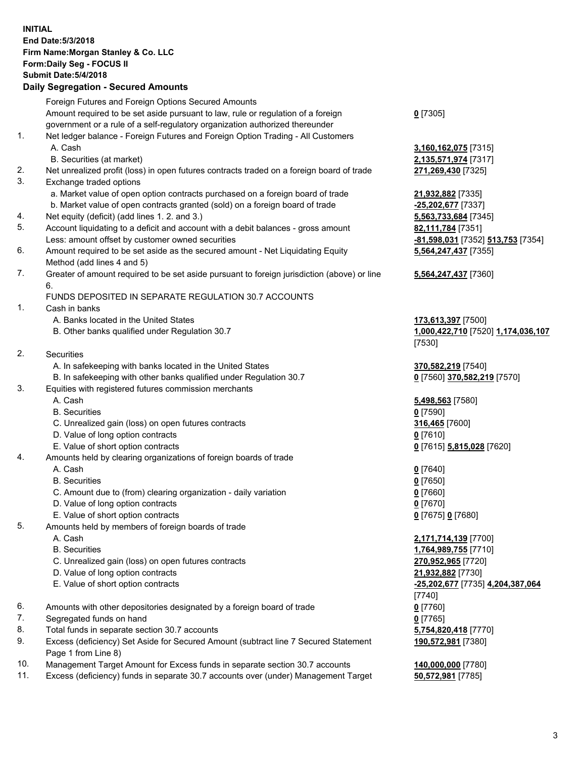## **INITIAL End Date:5/3/2018 Firm Name:Morgan Stanley & Co. LLC Form:Daily Seg - FOCUS II Submit Date:5/4/2018 Daily Segregation - Secured Amounts**

Foreign Futures and Foreign Options Secured Amounts Amount required to be set aside pursuant to law, rule or regulation of a foreign government or a rule of a self-regulatory organization authorized thereunder 1. Net ledger balance - Foreign Futures and Foreign Option Trading - All Customers A. Cash **3,160,162,075** [7315] B. Securities (at market) **2,135,571,974** [7317] 2. Net unrealized profit (loss) in open futures contracts traded on a foreign board of trade **271,269,430** [7325] 3. Exchange traded options a. Market value of open option contracts purchased on a foreign board of trade **21,932,882** [7335] b. Market value of open contracts granted (sold) on a foreign board of trade **-25,202,677** [7337] 4. Net equity (deficit) (add lines 1. 2. and 3.) **5,563,733,684** [7345] 5. Account liquidating to a deficit and account with a debit balances - gross amount **82,111,784** [7351] Less: amount offset by customer owned securities **-81,598,031** [7352] **513,753** [7354] 6. Amount required to be set aside as the secured amount - Net Liquidating Equity Method (add lines 4 and 5) 7. Greater of amount required to be set aside pursuant to foreign jurisdiction (above) or line 6. FUNDS DEPOSITED IN SEPARATE REGULATION 30.7 ACCOUNTS 1. Cash in banks A. Banks located in the United States **173,613,397** [7500] B. Other banks qualified under Regulation 30.7 **1,000,422,710** [7520] **1,174,036,107** 2. Securities A. In safekeeping with banks located in the United States **370,582,219** [7540] B. In safekeeping with other banks qualified under Regulation 30.7 **0** [7560] **370,582,219** [7570] 3. Equities with registered futures commission merchants A. Cash **5,498,563** [7580] B. Securities **0** [7590] C. Unrealized gain (loss) on open futures contracts **316,465** [7600] D. Value of long option contracts **0** [7610] E. Value of short option contracts **0** [7615] **5,815,028** [7620] 4. Amounts held by clearing organizations of foreign boards of trade A. Cash **0** [7640] B. Securities **0** [7650] C. Amount due to (from) clearing organization - daily variation **0** [7660] D. Value of long option contracts **0** [7670] E. Value of short option contracts **0** [7675] **0** [7680] 5. Amounts held by members of foreign boards of trade A. Cash **2,171,714,139** [7700] B. Securities **1,764,989,755** [7710] C. Unrealized gain (loss) on open futures contracts **270,952,965** [7720] D. Value of long option contracts **21,932,882** [7730] E. Value of short option contracts **-25,202,677** [7735] **4,204,387,064** 6. Amounts with other depositories designated by a foreign board of trade **0** [7760] 7. Segregated funds on hand **0** [7765] 8. Total funds in separate section 30.7 accounts **5,754,820,418** [7770]

- 9. Excess (deficiency) Set Aside for Secured Amount (subtract line 7 Secured Statement Page 1 from Line 8)
- 10. Management Target Amount for Excess funds in separate section 30.7 accounts **140,000,000** [7780]
- 11. Excess (deficiency) funds in separate 30.7 accounts over (under) Management Target **50,572,981** [7785]

**0** [7305]

**5,564,247,437** [7355]

## **5,564,247,437** [7360]

[7530]

[7740] **190,572,981** [7380]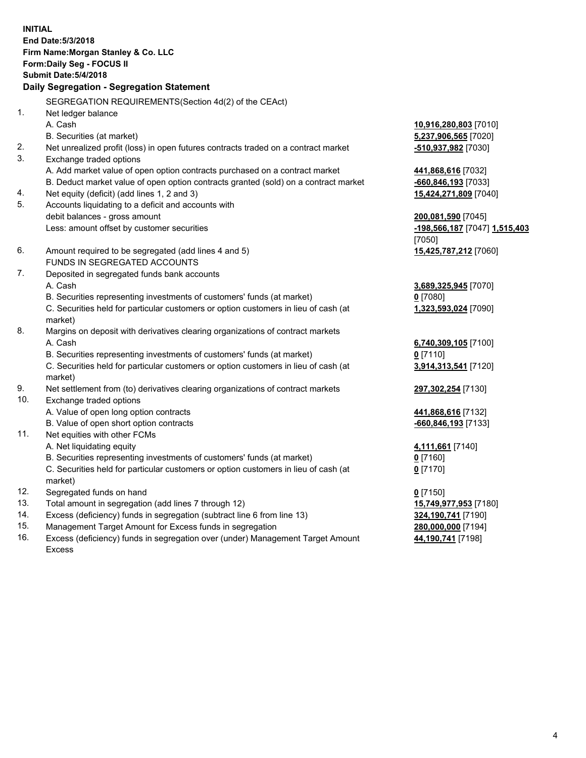**INITIAL End Date:5/3/2018 Firm Name:Morgan Stanley & Co. LLC Form:Daily Seg - FOCUS II Submit Date:5/4/2018 Daily Segregation - Segregation Statement** SEGREGATION REQUIREMENTS(Section 4d(2) of the CEAct) 1. Net ledger balance A. Cash **10,916,280,803** [7010] B. Securities (at market) **5,237,906,565** [7020] 2. Net unrealized profit (loss) in open futures contracts traded on a contract market **-510,937,982** [7030] 3. Exchange traded options A. Add market value of open option contracts purchased on a contract market **441,868,616** [7032] B. Deduct market value of open option contracts granted (sold) on a contract market **-660,846,193** [7033] 4. Net equity (deficit) (add lines 1, 2 and 3) **15,424,271,809** [7040] 5. Accounts liquidating to a deficit and accounts with debit balances - gross amount **200,081,590** [7045] Less: amount offset by customer securities **-198,566,187** [7047] **1,515,403** [7050] 6. Amount required to be segregated (add lines 4 and 5) **15,425,787,212** [7060] FUNDS IN SEGREGATED ACCOUNTS 7. Deposited in segregated funds bank accounts A. Cash **3,689,325,945** [7070] B. Securities representing investments of customers' funds (at market) **0** [7080] C. Securities held for particular customers or option customers in lieu of cash (at market) **1,323,593,024** [7090] 8. Margins on deposit with derivatives clearing organizations of contract markets A. Cash **6,740,309,105** [7100] B. Securities representing investments of customers' funds (at market) **0** [7110] C. Securities held for particular customers or option customers in lieu of cash (at market) **3,914,313,541** [7120] 9. Net settlement from (to) derivatives clearing organizations of contract markets **297,302,254** [7130] 10. Exchange traded options A. Value of open long option contracts **441,868,616** [7132] B. Value of open short option contracts **-660,846,193** [7133] 11. Net equities with other FCMs A. Net liquidating equity **4,111,661** [7140] B. Securities representing investments of customers' funds (at market) **0** [7160] C. Securities held for particular customers or option customers in lieu of cash (at market) **0** [7170] 12. Segregated funds on hand **0** [7150] 13. Total amount in segregation (add lines 7 through 12) **15,749,977,953** [7180] 14. Excess (deficiency) funds in segregation (subtract line 6 from line 13) **324,190,741** [7190] 15. Management Target Amount for Excess funds in segregation **280,000,000** [7194]

16. Excess (deficiency) funds in segregation over (under) Management Target Amount Excess

**44,190,741** [7198]